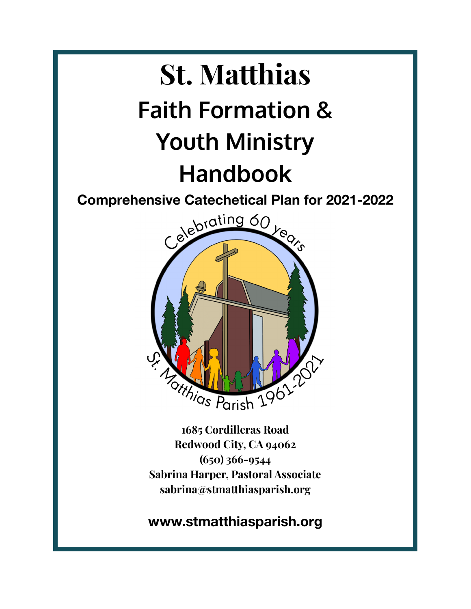# **St. Matthias Faith Formation & Youth Ministry Handbook**



**1685 Cordilleras Road Redwood City, CA 94062 (650) 366-9544 Sabrina Harper, Pastoral Associate sabrina@stmatthiasparish.org**

**www.stmatthiasparish.org**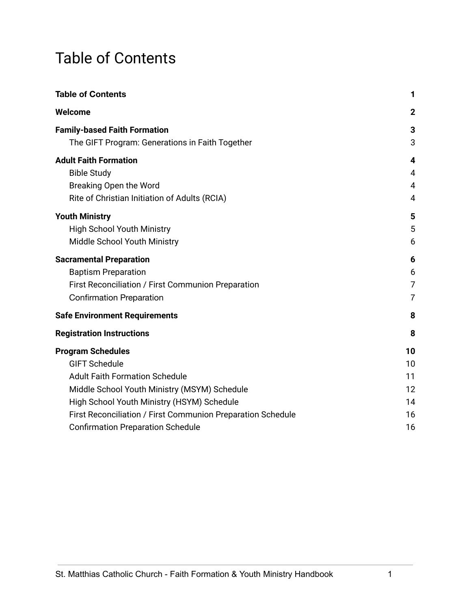## <span id="page-1-0"></span>Table of Contents

| <b>Table of Contents</b>                                                               | 1              |
|----------------------------------------------------------------------------------------|----------------|
| Welcome                                                                                | $\mathbf 2$    |
| <b>Family-based Faith Formation</b><br>The GIFT Program: Generations in Faith Together | 3<br>3         |
| <b>Adult Faith Formation</b>                                                           | 4              |
| <b>Bible Study</b>                                                                     | 4              |
| Breaking Open the Word                                                                 | 4              |
| Rite of Christian Initiation of Adults (RCIA)                                          | $\overline{4}$ |
| <b>Youth Ministry</b>                                                                  | 5              |
| <b>High School Youth Ministry</b>                                                      | 5              |
| Middle School Youth Ministry                                                           | 6              |
| <b>Sacramental Preparation</b>                                                         | 6              |
| <b>Baptism Preparation</b>                                                             | 6              |
| First Reconciliation / First Communion Preparation                                     | 7              |
| <b>Confirmation Preparation</b>                                                        | $\overline{7}$ |
| <b>Safe Environment Requirements</b>                                                   | 8              |
| <b>Registration Instructions</b>                                                       | 8              |
| <b>Program Schedules</b>                                                               | 10             |
| <b>GIFT Schedule</b>                                                                   | 10             |
| <b>Adult Faith Formation Schedule</b>                                                  | 11             |
| Middle School Youth Ministry (MSYM) Schedule                                           | 12             |
| High School Youth Ministry (HSYM) Schedule                                             | 14             |
| First Reconciliation / First Communion Preparation Schedule                            | 16             |
| <b>Confirmation Preparation Schedule</b>                                               | 16             |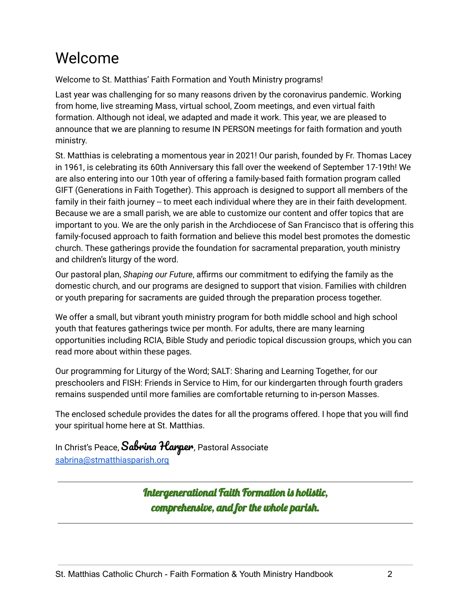## <span id="page-2-0"></span>Welcome

Welcome to St. Matthias' Faith Formation and Youth Ministry programs!

Last year was challenging for so many reasons driven by the coronavirus pandemic. Working from home, live streaming Mass, virtual school, Zoom meetings, and even virtual faith formation. Although not ideal, we adapted and made it work. This year, we are pleased to announce that we are planning to resume IN PERSON meetings for faith formation and youth ministry.

St. Matthias is celebrating a momentous year in 2021! Our parish, founded by Fr. Thomas Lacey in 1961, is celebrating its 60th Anniversary this fall over the weekend of September 17-19th! We are also entering into our 10th year of offering a family-based faith formation program called GIFT (Generations in Faith Together). This approach is designed to support all members of the family in their faith journey -- to meet each individual where they are in their faith development. Because we are a small parish, we are able to customize our content and offer topics that are important to you. We are the only parish in the Archdiocese of San Francisco that is offering this family-focused approach to faith formation and believe this model best promotes the domestic church. These gatherings provide the foundation for sacramental preparation, youth ministry and children's liturgy of the word.

Our pastoral plan, *Shaping our Future*, affirms our commitment to edifying the family as the domestic church, and our programs are designed to support that vision. Families with children or youth preparing for sacraments are guided through the preparation process together.

We offer a small, but vibrant youth ministry program for both middle school and high school youth that features gatherings twice per month. For adults, there are many learning opportunities including RCIA, Bible Study and periodic topical discussion groups, which you can read more about within these pages.

Our programming for Liturgy of the Word; SALT: Sharing and Learning Together, for our preschoolers and FISH: Friends in Service to Him, for our kindergarten through fourth graders remains suspended until more families are comfortable returning to in-person Masses.

The enclosed schedule provides the dates for all the programs offered. I hope that you will find your spiritual home here at St. Matthias.

In Christ's Peace, Sabrina Harper, Pastoral Associate [sabrina@stmatthiasparish.org](mailto:sabrina@stmatthiasparish.org)

> Intergenerational Faith Formation is holistic, comprehensive, and for the whole parish.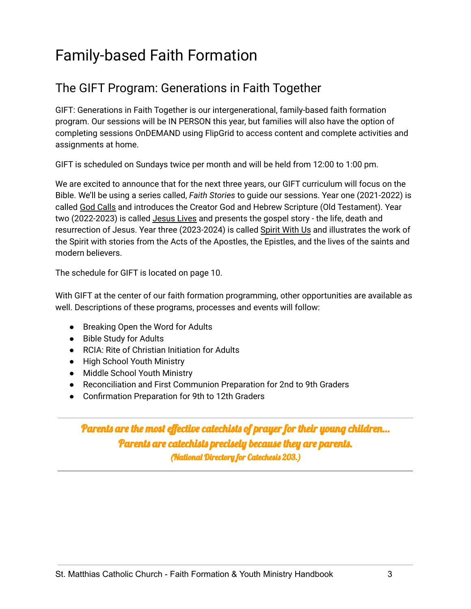## <span id="page-3-0"></span>Family-based Faith Formation

#### <span id="page-3-1"></span>The GIFT Program: Generations in Faith Together

GIFT: Generations in Faith Together is our intergenerational, family-based faith formation program. Our sessions will be IN PERSON this year, but families will also have the option of completing sessions OnDEMAND using FlipGrid to access content and complete activities and assignments at home.

GIFT is scheduled on Sundays twice per month and will be held from 12:00 to 1:00 pm.

We are excited to announce that for the next three years, our GIFT curriculum will focus on the Bible. We'll be using a series called, *Faith Stories* to guide our sessions. Year one (2021-2022) is called God Calls and introduces the Creator God and Hebrew Scripture (Old Testament). Year two (2022-2023) is called Jesus Lives and presents the gospel story - the life, death and resurrection of Jesus. Year three (2023-2024) is called Spirit With Us and illustrates the work of the Spirit with stories from the Acts of the Apostles, the Epistles, and the lives of the saints and modern believers.

The schedule for GIFT is located on page 10.

With GIFT at the center of our faith formation programming, other opportunities are available as well. Descriptions of these programs, processes and events will follow:

- Breaking Open the Word for Adults
- Bible Study for Adults
- RCIA: Rite of Christian Initiation for Adults
- High School Youth Ministry
- Middle School Youth Ministry
- Reconciliation and First Communion Preparation for 2nd to 9th Graders
- Confirmation Preparation for 9th to 12th Graders

Parents are the most effective catechists of prayer for their young children… Parents are catechists precisely because they are parents. (National Directory for Catechesis 203.)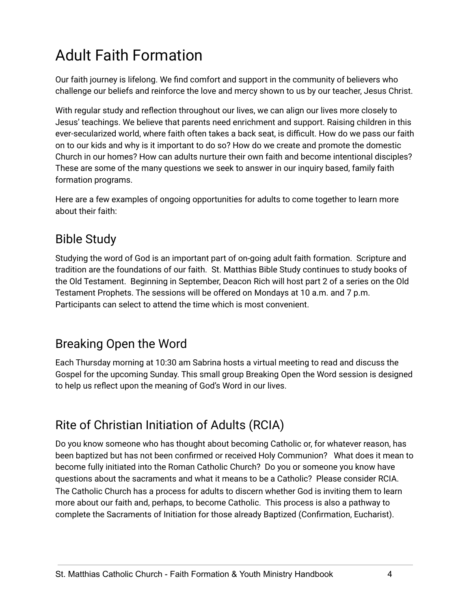## <span id="page-4-0"></span>Adult Faith Formation

Our faith journey is lifelong. We find comfort and support in the community of believers who challenge our beliefs and reinforce the love and mercy shown to us by our teacher, Jesus Christ.

With regular study and reflection throughout our lives, we can align our lives more closely to Jesus' teachings. We believe that parents need enrichment and support. Raising children in this ever-secularized world, where faith often takes a back seat, is difficult. How do we pass our faith on to our kids and why is it important to do so? How do we create and promote the domestic Church in our homes? How can adults nurture their own faith and become intentional disciples? These are some of the many questions we seek to answer in our inquiry based, family faith formation programs.

Here are a few examples of ongoing opportunities for adults to come together to learn more about their faith:

#### <span id="page-4-1"></span>Bible Study

Studying the word of God is an important part of on-going adult faith formation. Scripture and tradition are the foundations of our faith. St. Matthias Bible Study continues to study books of the Old Testament. Beginning in September, Deacon Rich will host part 2 of a series on the Old Testament Prophets. The sessions will be offered on Mondays at 10 a.m. and 7 p.m. Participants can select to attend the time which is most convenient.

#### <span id="page-4-2"></span>Breaking Open the Word

Each Thursday morning at 10:30 am Sabrina hosts a virtual meeting to read and discuss the Gospel for the upcoming Sunday. This small group Breaking Open the Word session is designed to help us reflect upon the meaning of God's Word in our lives.

### <span id="page-4-3"></span>Rite of Christian Initiation of Adults (RCIA)

Do you know someone who has thought about becoming Catholic or, for whatever reason, has been baptized but has not been confirmed or received Holy Communion? What does it mean to become fully initiated into the Roman Catholic Church? Do you or someone you know have questions about the sacraments and what it means to be a Catholic? Please consider RCIA. The Catholic Church has a process for adults to discern whether God is inviting them to learn more about our faith and, perhaps, to become Catholic. This process is also a pathway to complete the Sacraments of Initiation for those already Baptized (Confirmation, Eucharist).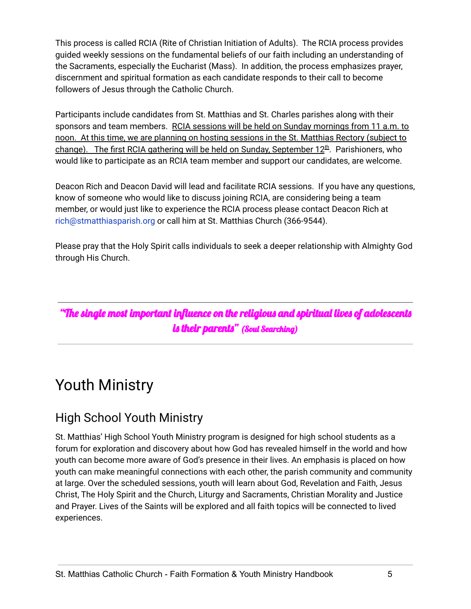This process is called RCIA (Rite of Christian Initiation of Adults). The RCIA process provides guided weekly sessions on the fundamental beliefs of our faith including an understanding of the Sacraments, especially the Eucharist (Mass). In addition, the process emphasizes prayer, discernment and spiritual formation as each candidate responds to their call to become followers of Jesus through the Catholic Church.

Participants include candidates from St. Matthias and St. Charles parishes along with their sponsors and team members. RCIA sessions will be held on Sunday mornings from 11 a.m. to noon. At this time, we are planning on hosting sessions in the St. Matthias Rectory (subject to change). The first RCIA gathering will be held on Sunday, September 12<sup>th</sup>. Parishioners, who would like to participate as an RCIA team member and support our candidates, are welcome.

Deacon Rich and Deacon David will lead and facilitate RCIA sessions. If you have any questions, know of someone who would like to discuss joining RCIA, are considering being a team member, or would just like to experience the RCIA process please contact Deacon Rich at rich@stmatthiasparish.org or call him at St. Matthias Church (366-9544).

Please pray that the Holy Spirit calls individuals to seek a deeper relationship with Almighty God through His Church.

"The single most important influence on the religious and spiritual lives of adolescents is their parents" (Soul Searching)

## <span id="page-5-0"></span>Youth Ministry

#### <span id="page-5-1"></span>High School Youth Ministry

St. Matthias' High School Youth Ministry program is designed for high school students as a forum for exploration and discovery about how God has revealed himself in the world and how youth can become more aware of God's presence in their lives. An emphasis is placed on how youth can make meaningful connections with each other, the parish community and community at large. Over the scheduled sessions, youth will learn about God, Revelation and Faith, Jesus Christ, The Holy Spirit and the Church, Liturgy and Sacraments, Christian Morality and Justice and Prayer. Lives of the Saints will be explored and all faith topics will be connected to lived experiences.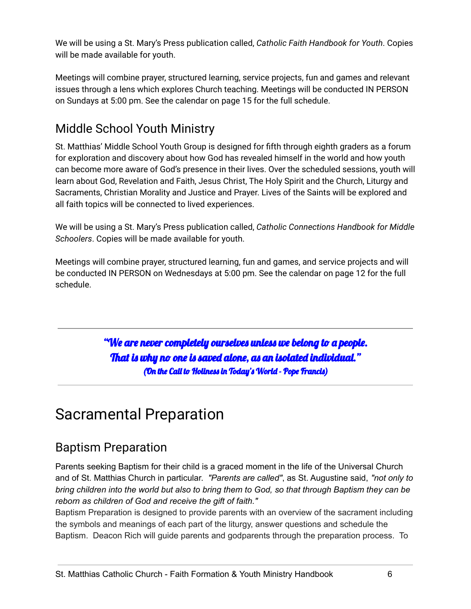We will be using a St. Mary's Press publication called, *Catholic Faith Handbook for Youth*. Copies will be made available for youth.

Meetings will combine prayer, structured learning, service projects, fun and games and relevant issues through a lens which explores Church teaching. Meetings will be conducted IN PERSON on Sundays at 5:00 pm. See the calendar on page 15 for the full schedule.

#### <span id="page-6-0"></span>Middle School Youth Ministry

St. Matthias' Middle School Youth Group is designed for fifth through eighth graders as a forum for exploration and discovery about how God has revealed himself in the world and how youth can become more aware of God's presence in their lives. Over the scheduled sessions, youth will learn about God, Revelation and Faith, Jesus Christ, The Holy Spirit and the Church, Liturgy and Sacraments, Christian Morality and Justice and Prayer. Lives of the Saints will be explored and all faith topics will be connected to lived experiences.

We will be using a St. Mary's Press publication called, *Catholic Connections Handbook for Middle Schoolers*. Copies will be made available for youth.

Meetings will combine prayer, structured learning, fun and games, and service projects and will be conducted IN PERSON on Wednesdays at 5:00 pm. See the calendar on page 12 for the full schedule.

> "We are never completely ourselves unless we belong to a people. That is why no one is saved alone, as an isolated individual." (On the Call to Holiness in Today's World - Pope Francis)

## <span id="page-6-1"></span>Sacramental Preparation

#### <span id="page-6-2"></span>Baptism Preparation

Parents seeking Baptism for their child is a graced moment in the life of the Universal Church and of St. Matthias Church in particular. *"Parents are called"*, as St. Augustine said, *"not only to* bring children into the world but also to bring them to God, so that through Baptism they can be *reborn as children of God and receive the gift of faith."*

Baptism Preparation is designed to provide parents with an overview of the sacrament including the symbols and meanings of each part of the liturgy, answer questions and schedule the Baptism. Deacon Rich will guide parents and godparents through the preparation process. To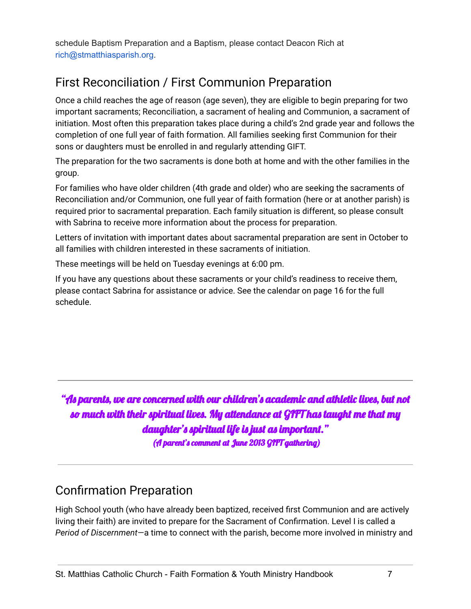schedule Baptism Preparation and a Baptism, please contact Deacon Rich at rich@stmatthiasparish.org.

#### <span id="page-7-0"></span>First Reconciliation / First Communion Preparation

Once a child reaches the age of reason (age seven), they are eligible to begin preparing for two important sacraments; Reconciliation, a sacrament of healing and Communion, a sacrament of initiation. Most often this preparation takes place during a child's 2nd grade year and follows the completion of one full year of faith formation. All families seeking first Communion for their sons or daughters must be enrolled in and regularly attending GIFT.

The preparation for the two sacraments is done both at home and with the other families in the group.

For families who have older children (4th grade and older) who are seeking the sacraments of Reconciliation and/or Communion, one full year of faith formation (here or at another parish) is required prior to sacramental preparation. Each family situation is different, so please consult with Sabrina to receive more information about the process for preparation.

Letters of invitation with important dates about sacramental preparation are sent in October to all families with children interested in these sacraments of initiation.

These meetings will be held on Tuesday evenings at 6:00 pm.

If you have any questions about these sacraments or your child's readiness to receive them, please contact Sabrina for assistance or advice. See the calendar on page 16 for the full schedule.

"As parents, we are concerned with our children's academic and athletic lives, but not so much with their spiritual lives. My attendance at GIFT has taught me that my daughter's spiritual life is just as important." (A parent's comment at June 2013 GIFT gathering)

#### <span id="page-7-1"></span>Confirmation Preparation

High School youth (who have already been baptized, received first Communion and are actively living their faith) are invited to prepare for the Sacrament of Confirmation. Level I is called a *Period of Discernment*—a time to connect with the parish, become more involved in ministry and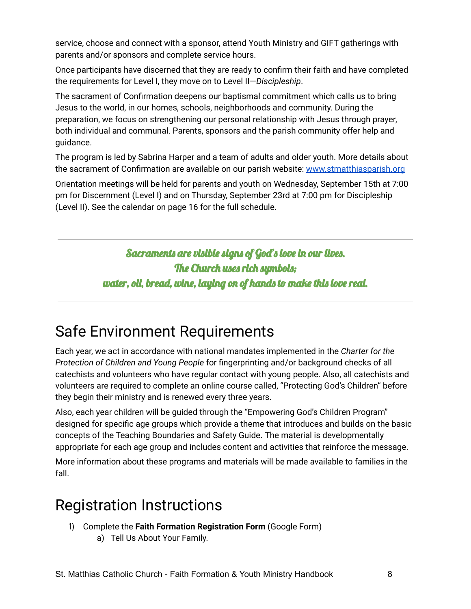service, choose and connect with a sponsor, attend Youth Ministry and GIFT gatherings with parents and/or sponsors and complete service hours.

Once participants have discerned that they are ready to confirm their faith and have completed the requirements for Level I, they move on to Level II—*Discipleship*.

The sacrament of Confirmation deepens our baptismal commitment which calls us to bring Jesus to the world, in our homes, schools, neighborhoods and community. During the preparation, we focus on strengthening our personal relationship with Jesus through prayer, both individual and communal. Parents, sponsors and the parish community offer help and guidance.

The program is led by Sabrina Harper and a team of adults and older youth. More details about the sacrament of Confirmation are available on our parish website: [www.stmatthiasparish.org](http://www.stmatthiasparish.org)

Orientation meetings will be held for parents and youth on Wednesday, September 15th at 7:00 pm for Discernment (Level I) and on Thursday, September 23rd at 7:00 pm for Discipleship (Level II). See the calendar on page 16 for the full schedule.

> Sacraments are visible signs of God's love in our lives. The Church uses rich symbols; water, oil, bread, wine, laying on of hands to make this love real.

## <span id="page-8-0"></span>Safe Environment Requirements

Each year, we act in accordance with national mandates implemented in the *Charter for the Protection of Children and Young People* for fingerprinting and/or background checks of all catechists and volunteers who have regular contact with young people. Also, all catechists and volunteers are required to complete an online course called, "Protecting God's Children" before they begin their ministry and is renewed every three years.

Also, each year children will be guided through the "Empowering God's Children Program" designed for specific age groups which provide a theme that introduces and builds on the basic concepts of the Teaching Boundaries and Safety Guide. The material is developmentally appropriate for each age group and includes content and activities that reinforce the message.

More information about these programs and materials will be made available to families in the fall.

## <span id="page-8-1"></span>Registration Instructions

- 1) Complete the **Faith Formation Registration Form** (Google Form)
	- a) Tell Us About Your Family.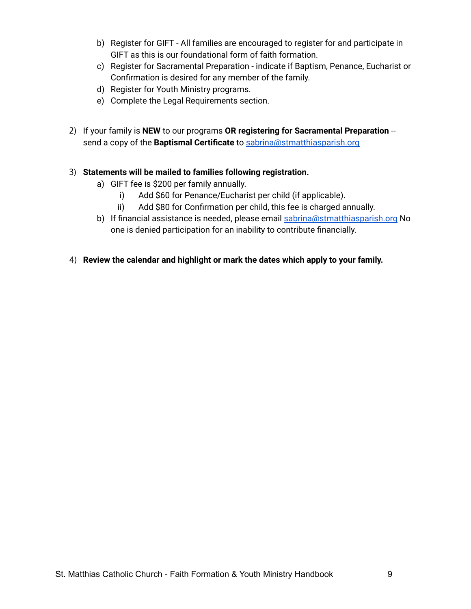- b) Register for GIFT All families are encouraged to register for and participate in GIFT as this is our foundational form of faith formation.
- c) Register for Sacramental Preparation indicate if Baptism, Penance, Eucharist or Confirmation is desired for any member of the family.
- d) Register for Youth Ministry programs.
- e) Complete the Legal Requirements section.
- 2) If your family is **NEW** to our programs **OR registering for Sacramental Preparation** send a copy of the **Baptismal Certificate** to [sabrina@stmatthiasparish.org](mailto:sabrina@stmatthiasparish.org)

#### 3) **Statements will be mailed to families following registration.**

- a) GIFT fee is \$200 per family annually.
	- i) Add \$60 for Penance/Eucharist per child (if applicable).
	- ii) Add \$80 for Confirmation per child, this fee is charged annually.
- b) If financial assistance is needed, please email [sabrina@stmatthiasparish.org](mailto:sabrina@stmatthiasparish.org) No one is denied participation for an inability to contribute financially.
- 4) **Review the calendar and highlight or mark the dates which apply to your family.**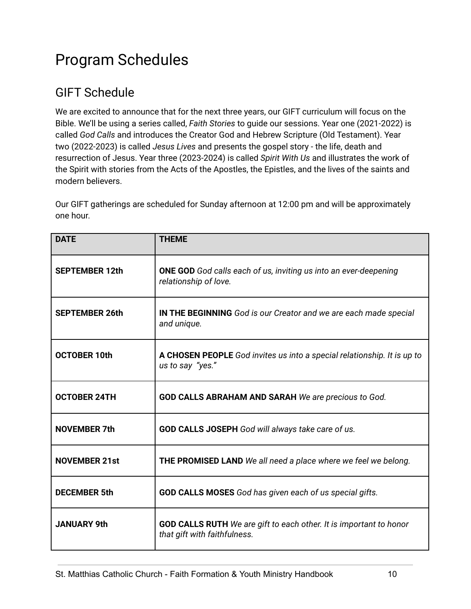## <span id="page-10-0"></span>Program Schedules

#### <span id="page-10-1"></span>GIFT Schedule

We are excited to announce that for the next three years, our GIFT curriculum will focus on the Bible. We'll be using a series called, *Faith Stories* to guide our sessions. Year one (2021-2022) is called *God Calls* and introduces the Creator God and Hebrew Scripture (Old Testament). Year two (2022-2023) is called *Jesus Lives* and presents the gospel story - the life, death and resurrection of Jesus. Year three (2023-2024) is called *Spirit With Us* and illustrates the work of the Spirit with stories from the Acts of the Apostles, the Epistles, and the lives of the saints and modern believers.

Our GIFT gatherings are scheduled for Sunday afternoon at 12:00 pm and will be approximately one hour.

| <b>DATE</b>           | <b>THEME</b>                                                                                              |
|-----------------------|-----------------------------------------------------------------------------------------------------------|
| <b>SEPTEMBER 12th</b> | <b>ONE GOD</b> God calls each of us, inviting us into an ever-deepening<br>relationship of love.          |
| <b>SEPTEMBER 26th</b> | IN THE BEGINNING God is our Creator and we are each made special<br>and unique.                           |
| <b>OCTOBER 10th</b>   | A CHOSEN PEOPLE God invites us into a special relationship. It is up to<br>us to say "yes."               |
| <b>OCTOBER 24TH</b>   | <b>GOD CALLS ABRAHAM AND SARAH</b> We are precious to God.                                                |
| <b>NOVEMBER 7th</b>   | GOD CALLS JOSEPH God will always take care of us.                                                         |
| <b>NOVEMBER 21st</b>  | THE PROMISED LAND We all need a place where we feel we belong.                                            |
| <b>DECEMBER 5th</b>   | <b>GOD CALLS MOSES</b> God has given each of us special gifts.                                            |
| <b>JANUARY 9th</b>    | <b>GOD CALLS RUTH</b> We are gift to each other. It is important to honor<br>that gift with faithfulness. |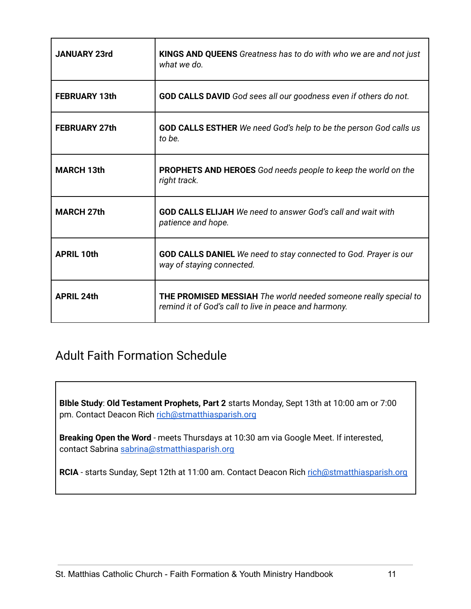| <b>JANUARY 23rd</b>  | <b>KINGS AND QUEENS</b> Greatness has to do with who we are and not just<br>what we do                                          |
|----------------------|---------------------------------------------------------------------------------------------------------------------------------|
| <b>FEBRUARY 13th</b> | <b>GOD CALLS DAVID</b> God sees all our goodness even if others do not.                                                         |
| <b>FEBRUARY 27th</b> | <b>GOD CALLS ESTHER</b> We need God's help to be the person God calls us<br>to be.                                              |
| <b>MARCH 13th</b>    | <b>PROPHETS AND HEROES</b> God needs people to keep the world on the<br>right track.                                            |
| <b>MARCH 27th</b>    | <b>GOD CALLS ELIJAH</b> We need to answer God's call and wait with<br>patience and hope.                                        |
| <b>APRIL 10th</b>    | <b>GOD CALLS DANIEL</b> We need to stay connected to God. Prayer is our<br>way of staying connected.                            |
| <b>APRIL 24th</b>    | <b>THE PROMISED MESSIAH</b> The world needed someone really special to<br>remind it of God's call to live in peace and harmony. |

#### <span id="page-11-0"></span>Adult Faith Formation Schedule

**BIble Study**: **Old Testament Prophets, Part 2** starts Monday, Sept 13th at 10:00 am or 7:00 pm. Contact Deacon Rich [rich@stmatthiasparish.org](mailto:rich@stmatthiasparish.org)

**Breaking Open the Word** - meets Thursdays at 10:30 am via Google Meet. If interested, contact Sabrina [sabrina@stmatthiasparish.org](mailto:sabrina@stmatthiasparish.org)

RCIA - starts Sunday, Sept 12th at 11:00 am. Contact Deacon Rich [rich@stmatthiasparish.org](mailto:rich@stmatthiasparish.org)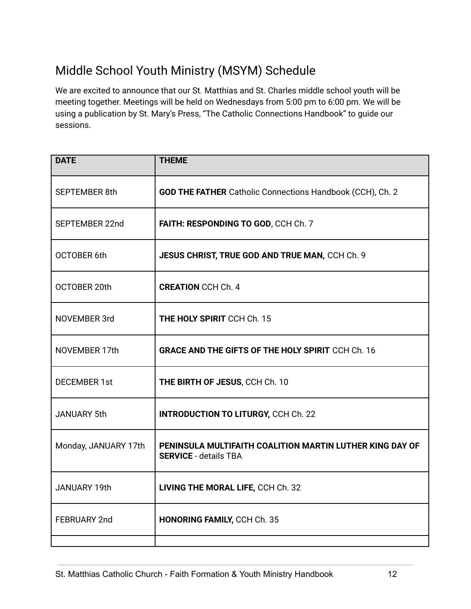#### <span id="page-12-0"></span>Middle School Youth Ministry (MSYM) Schedule

We are excited to announce that our St. Matthias and St. Charles middle school youth will be meeting together. Meetings will be held on Wednesdays from 5:00 pm to 6:00 pm. We will be using a publication by St. Mary's Press, "The Catholic Connections Handbook" to guide our sessions.

| <b>DATE</b>          | <b>THEME</b>                                                                             |
|----------------------|------------------------------------------------------------------------------------------|
| <b>SEPTEMBER 8th</b> | <b>GOD THE FATHER</b> Catholic Connections Handbook (CCH), Ch. 2                         |
| SEPTEMBER 22nd       | FAITH: RESPONDING TO GOD, CCH Ch. 7                                                      |
| <b>OCTOBER 6th</b>   | JESUS CHRIST, TRUE GOD AND TRUE MAN, CCH Ch. 9                                           |
| OCTOBER 20th         | <b>CREATION CCH Ch. 4</b>                                                                |
| <b>NOVEMBER 3rd</b>  | <b>THE HOLY SPIRIT CCH Ch. 15</b>                                                        |
| NOVEMBER 17th        | <b>GRACE AND THE GIFTS OF THE HOLY SPIRIT CCH Ch. 16</b>                                 |
| <b>DECEMBER 1st</b>  | THE BIRTH OF JESUS, CCH Ch. 10                                                           |
| <b>JANUARY 5th</b>   | <b>INTRODUCTION TO LITURGY, CCH Ch. 22</b>                                               |
| Monday, JANUARY 17th | PENINSULA MULTIFAITH COALITION MARTIN LUTHER KING DAY OF<br><b>SERVICE - details TBA</b> |
| <b>JANUARY 19th</b>  | LIVING THE MORAL LIFE, CCH Ch. 32                                                        |
| FEBRUARY 2nd         | <b>HONORING FAMILY, CCH Ch. 35</b>                                                       |
|                      |                                                                                          |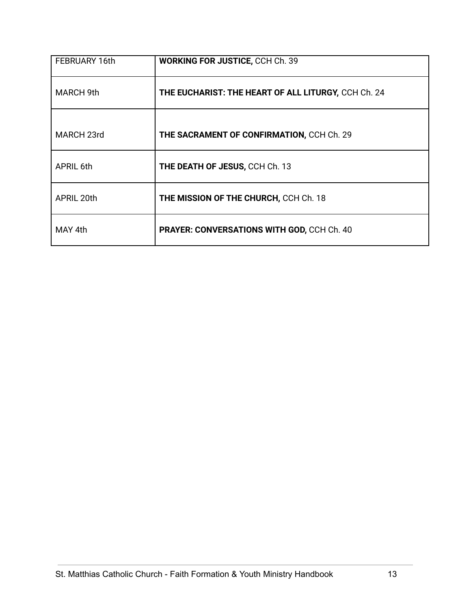| FEBRUARY 16th    | <b>WORKING FOR JUSTICE, CCH Ch. 39</b>              |
|------------------|-----------------------------------------------------|
| <b>MARCH 9th</b> | THE EUCHARIST: THE HEART OF ALL LITURGY, CCH Ch. 24 |
| MARCH 23rd       | THE SACRAMENT OF CONFIRMATION, CCH Ch. 29           |
| <b>APRIL 6th</b> | THE DEATH OF JESUS, CCH Ch. 13                      |
| APRIL 20th       | THE MISSION OF THE CHURCH, CCH Ch. 18               |
| MAY 4th          | PRAYER: CONVERSATIONS WITH GOD, CCH Ch. 40          |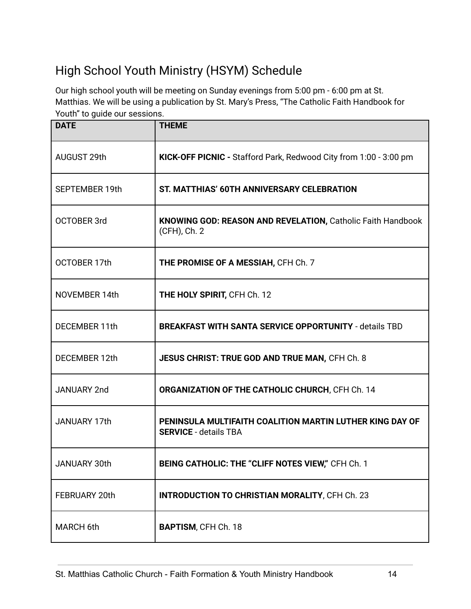### <span id="page-14-0"></span>High School Youth Ministry (HSYM) Schedule

Our high school youth will be meeting on Sunday evenings from 5:00 pm - 6:00 pm at St. Matthias. We will be using a publication by St. Mary's Press, "The Catholic Faith Handbook for Youth" to quide our sessions.

| <b>DATE</b>           | <b>THEME</b>                                                                             |
|-----------------------|------------------------------------------------------------------------------------------|
| AUGUST 29th           | KICK-OFF PICNIC - Stafford Park, Redwood City from 1:00 - 3:00 pm                        |
| <b>SEPTEMBER 19th</b> | ST. MATTHIAS' 60TH ANNIVERSARY CELEBRATION                                               |
| <b>OCTOBER 3rd</b>    | KNOWING GOD: REASON AND REVELATION, Catholic Faith Handbook<br>(CFH), Ch. 2              |
| OCTOBER 17th          | THE PROMISE OF A MESSIAH, CFH Ch. 7                                                      |
| NOVEMBER 14th         | THE HOLY SPIRIT, CFH Ch. 12                                                              |
| DECEMBER 11th         | <b>BREAKFAST WITH SANTA SERVICE OPPORTUNITY - details TBD</b>                            |
| DECEMBER 12th         | JESUS CHRIST: TRUE GOD AND TRUE MAN, CFH Ch. 8                                           |
| <b>JANUARY 2nd</b>    | ORGANIZATION OF THE CATHOLIC CHURCH, CFH Ch. 14                                          |
| <b>JANUARY 17th</b>   | PENINSULA MULTIFAITH COALITION MARTIN LUTHER KING DAY OF<br><b>SERVICE - details TBA</b> |
| JANUARY 30th          | BEING CATHOLIC: THE "CLIFF NOTES VIEW," CFH Ch. 1                                        |
| FEBRUARY 20th         | <b>INTRODUCTION TO CHRISTIAN MORALITY, CFH Ch. 23</b>                                    |
| MARCH 6th             | <b>BAPTISM, CFH Ch. 18</b>                                                               |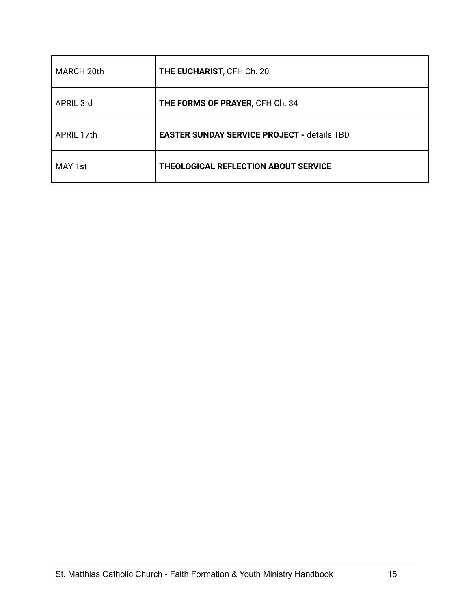| MARCH 20th       | THE EUCHARIST, CFH Ch. 20                          |
|------------------|----------------------------------------------------|
| <b>APRIL 3rd</b> | THE FORMS OF PRAYER, CFH Ch. 34                    |
| APRIL 17th       | <b>EASTER SUNDAY SERVICE PROJECT - details TBD</b> |
| MAY 1st          | <b>THEOLOGICAL REFLECTION ABOUT SERVICE</b>        |